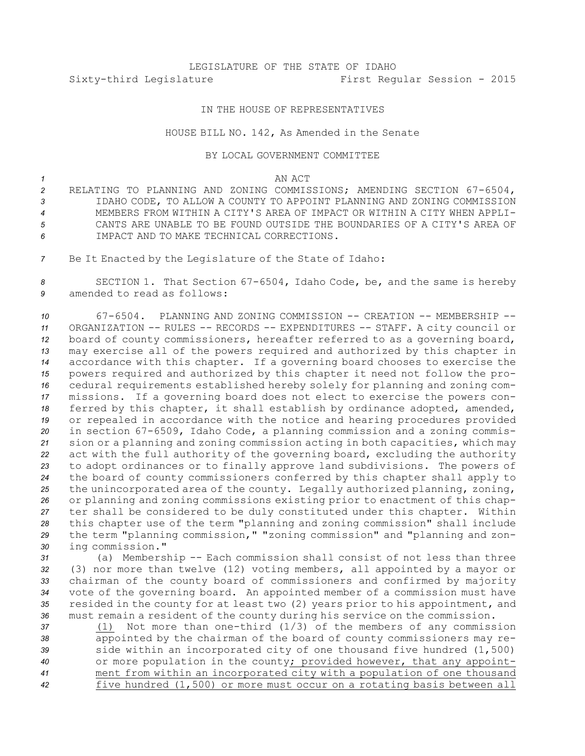# LEGISLATURE OF THE STATE OF IDAHO Sixty-third Legislature First Regular Session - 2015

## IN THE HOUSE OF REPRESENTATIVES

### HOUSE BILL NO. 142, As Amended in the Senate

#### BY LOCAL GOVERNMENT COMMITTEE

#### *1* AN ACT

- *<sup>2</sup>* RELATING TO PLANNING AND ZONING COMMISSIONS; AMENDING SECTION 67-6504, *3* IDAHO CODE, TO ALLOW A COUNTY TO APPOINT PLANNING AND ZONING COMMISSION *4* MEMBERS FROM WITHIN A CITY'S AREA OF IMPACT OR WITHIN A CITY WHEN APPLI-*5* CANTS ARE UNABLE TO BE FOUND OUTSIDE THE BOUNDARIES OF A CITY'S AREA OF *6* IMPACT AND TO MAKE TECHNICAL CORRECTIONS.
- *<sup>7</sup>* Be It Enacted by the Legislature of the State of Idaho:

*<sup>8</sup>* SECTION 1. That Section 67-6504, Idaho Code, be, and the same is hereby *9* amended to read as follows:

 67-6504. PLANNING AND ZONING COMMISSION -- CREATION -- MEMBERSHIP -- ORGANIZATION -- RULES -- RECORDS -- EXPENDITURES -- STAFF. <sup>A</sup> city council or board of county commissioners, hereafter referred to as <sup>a</sup> governing board, may exercise all of the powers required and authorized by this chapter in accordance with this chapter. If <sup>a</sup> governing board chooses to exercise the powers required and authorized by this chapter it need not follow the pro- cedural requirements established hereby solely for planning and zoning com- missions. If <sup>a</sup> governing board does not elect to exercise the powers con- ferred by this chapter, it shall establish by ordinance adopted, amended, or repealed in accordance with the notice and hearing procedures provided in section 67-6509, Idaho Code, <sup>a</sup> planning commission and <sup>a</sup> zoning commis- sion or <sup>a</sup> planning and zoning commission acting in both capacities, which may act with the full authority of the governing board, excluding the authority to adopt ordinances or to finally approve land subdivisions. The powers of the board of county commissioners conferred by this chapter shall apply to the unincorporated area of the county. Legally authorized planning, zoning, or planning and zoning commissions existing prior to enactment of this chap- ter shall be considered to be duly constituted under this chapter. Within this chapter use of the term "planning and zoning commission" shall include the term "planning commission," "zoning commission" and "planning and zon-ing commission."

 (a) Membership -- Each commission shall consist of not less than three (3) nor more than twelve (12) voting members, all appointed by <sup>a</sup> mayor or chairman of the county board of commissioners and confirmed by majority vote of the governing board. An appointed member of <sup>a</sup> commission must have resided in the county for at least two (2) years prior to his appointment, and must remain <sup>a</sup> resident of the county during his service on the commission.

 (1) Not more than one-third (1/3) of the members of any commission appointed by the chairman of the board of county commissioners may re- side within an incorporated city of one thousand five hundred (1,500) or more population in the county; provided however, that any appoint- ment from within an incorporated city with <sup>a</sup> population of one thousand five hundred (1,500) or more must occur on <sup>a</sup> rotating basis between all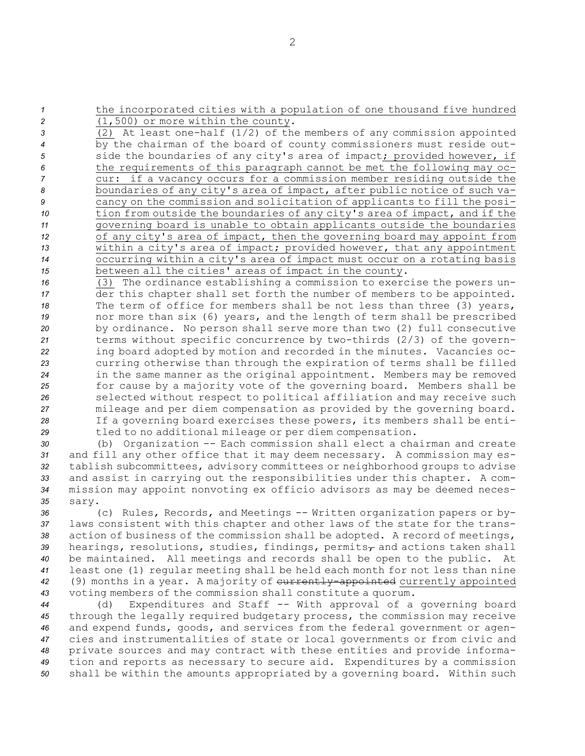*<sup>1</sup>* the incorporated cities with <sup>a</sup> population of one thousand five hundred *<sup>2</sup>* (1,500) or more within the county.

 (2) At least one-half (1/2) of the members of any commission appointed by the chairman of the board of county commissioners must reside out-5 side the boundaries of any city's area of impact; provided however, if the requirements of this paragraph cannot be met the following may oc- cur: if <sup>a</sup> vacancy occurs for <sup>a</sup> commission member residing outside the boundaries of any city's area of impact, after public notice of such va- cancy on the commission and solicitation of applicants to fill the posi- tion from outside the boundaries of any city's area of impact, and if the governing board is unable to obtain applicants outside the boundaries of any city's area of impact, then the governing board may appoint from within <sup>a</sup> city's area of impact; provided however, that any appointment occurring within <sup>a</sup> city's area of impact must occur on <sup>a</sup> rotating basis between all the cities' areas of impact in the county.

 (3) The ordinance establishing <sup>a</sup> commission to exercise the powers un- der this chapter shall set forth the number of members to be appointed. The term of office for members shall be not less than three (3) years, nor more than six (6) years, and the length of term shall be prescribed by ordinance. No person shall serve more than two (2) full consecutive terms without specific concurrence by two-thirds (2/3) of the govern- ing board adopted by motion and recorded in the minutes. Vacancies oc- curring otherwise than through the expiration of terms shall be filled in the same manner as the original appointment. Members may be removed for cause by <sup>a</sup> majority vote of the governing board. Members shall be selected without respect to political affiliation and may receive such mileage and per diem compensation as provided by the governing board. If <sup>a</sup> governing board exercises these powers, its members shall be enti-tled to no additional mileage or per diem compensation.

 (b) Organization -- Each commission shall elect <sup>a</sup> chairman and create and fill any other office that it may deem necessary. <sup>A</sup> commission may es- tablish subcommittees, advisory committees or neighborhood groups to advise and assist in carrying out the responsibilities under this chapter. <sup>A</sup> com- mission may appoint nonvoting ex officio advisors as may be deemed neces-*35* sary.

 (c) Rules, Records, and Meetings -- Written organization papers or by- laws consistent with this chapter and other laws of the state for the trans- action of business of the commission shall be adopted. <sup>A</sup> record of meetings, 39 hearings, resolutions, studies, findings, permits<sub>r</sub> and actions taken shall be maintained. All meetings and records shall be open to the public. At least one (1) regular meeting shall be held each month for not less than nine 42 (9) months in a year. A majority of currently-appointed currently appointed voting members of the commission shall constitute <sup>a</sup> quorum.

 (d) Expenditures and Staff -- With approval of <sup>a</sup> governing board through the legally required budgetary process, the commission may receive and expend funds, goods, and services from the federal government or agen- cies and instrumentalities of state or local governments or from civic and private sources and may contract with these entities and provide informa- tion and reports as necessary to secure aid. Expenditures by <sup>a</sup> commission shall be within the amounts appropriated by <sup>a</sup> governing board. Within such